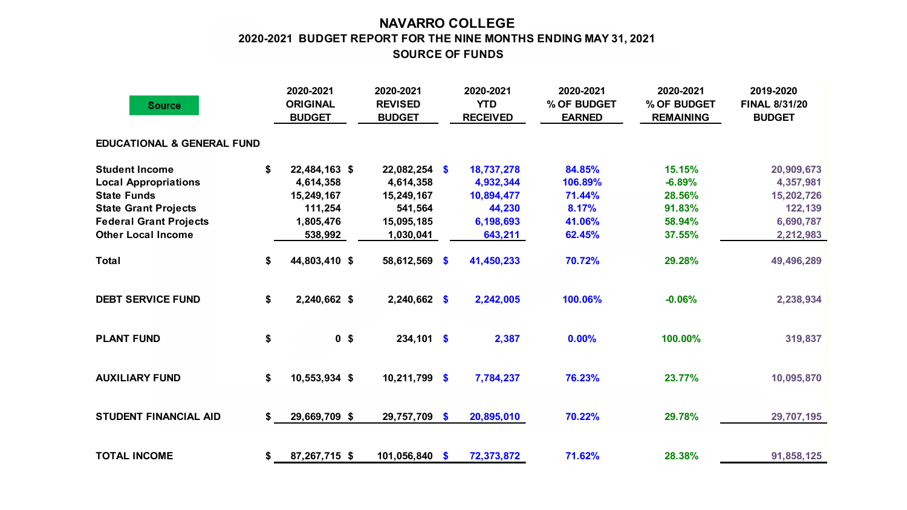## **NAVARRO COLLEGE SOURCE OF FUNDS 2020-2021 BUDGET REPORT FOR THE NINE MONTHS ENDING MAY 31, 2021**

| <b>Source</b>                         |    | 2020-2021<br><b>ORIGINAL</b><br><b>BUDGET</b> | 2020-2021<br><b>REVISED</b><br><b>BUDGET</b> |               | 2020-2021<br><b>YTD</b><br><b>RECEIVED</b> | 2020-2021<br>% OF BUDGET<br><b>EARNED</b> | 2020-2021<br>% OF BUDGET<br><b>REMAINING</b> | 2019-2020<br><b>FINAL 8/31/20</b><br><b>BUDGET</b> |
|---------------------------------------|----|-----------------------------------------------|----------------------------------------------|---------------|--------------------------------------------|-------------------------------------------|----------------------------------------------|----------------------------------------------------|
| <b>EDUCATIONAL &amp; GENERAL FUND</b> |    |                                               |                                              |               |                                            |                                           |                                              |                                                    |
| <b>Student Income</b>                 | S. | 22,484,163 \$                                 | $22,082,254$ \$                              |               | 18,737,278                                 | 84.85%                                    | 15.15%                                       | 20,909,673                                         |
| <b>Local Appropriations</b>           |    | 4,614,358                                     | 4,614,358                                    |               | 4,932,344                                  | 106.89%                                   | $-6.89%$                                     | 4,357,981                                          |
| <b>State Funds</b>                    |    | 15,249,167                                    | 15,249,167                                   |               | 10,894,477                                 | 71.44%                                    | 28.56%                                       | 15,202,726                                         |
| <b>State Grant Projects</b>           |    | 111,254                                       | 541,564                                      |               | 44,230                                     | 8.17%                                     | 91.83%                                       | 122,139                                            |
| <b>Federal Grant Projects</b>         |    | 1,805,476                                     | 15,095,185                                   |               | 6,198,693                                  | 41.06%                                    | 58.94%                                       | 6,690,787                                          |
| <b>Other Local Income</b>             |    | 538,992                                       | 1,030,041                                    |               | 643,211                                    | 62.45%                                    | 37.55%                                       | 2,212,983                                          |
| <b>Total</b>                          | \$ | 44,803,410 \$                                 | 58,612,569                                   | $\mathbf{\$}$ | 41,450,233                                 | 70.72%                                    | 29.28%                                       | 49,496,289                                         |
| <b>DEBT SERVICE FUND</b>              | \$ | 2,240,662 \$                                  | $2,240,662$ \$                               |               | 2,242,005                                  | 100.06%                                   | $-0.06%$                                     | 2,238,934                                          |
| <b>PLANT FUND</b>                     | \$ | 0 <sup>5</sup>                                | $234,101$ \$                                 |               | 2,387                                      | 0.00%                                     | 100.00%                                      | 319,837                                            |
| <b>AUXILIARY FUND</b>                 | \$ | 10,553,934 \$                                 | 10,211,799                                   | $\mathbf{\$}$ | 7,784,237                                  | 76.23%                                    | 23.77%                                       | 10,095,870                                         |
| <b>STUDENT FINANCIAL AID</b>          | S. | 29,669,709 \$                                 | 29,757,709 \$                                |               | 20,895,010                                 | 70.22%                                    | 29.78%                                       | 29,707,195                                         |
| <b>TOTAL INCOME</b>                   | \$ | 87,267,715 \$                                 | 101,056,840 \$                               |               | 72,373,872                                 | 71.62%                                    | 28.38%                                       | 91,858,125                                         |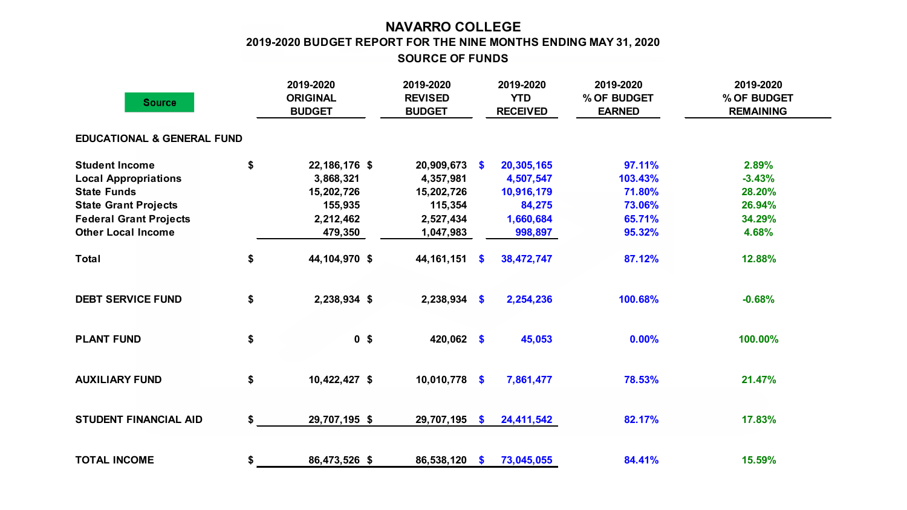## **NAVARRO COLLEGE 2019-2020 BUDGET REPORT FOR THE NINE MONTHS ENDING MAY 31, 2020**

**SOURCE OF FUNDS**

| <b>Source</b>                         |    | 2019-2020<br><b>ORIGINAL</b><br><b>BUDGET</b> | 2019-2020<br><b>REVISED</b><br><b>BUDGET</b> |               | 2019-2020<br><b>YTD</b><br><b>RECEIVED</b> | 2019-2020<br>% OF BUDGET<br><b>EARNED</b> | 2019-2020<br>% OF BUDGET<br><b>REMAINING</b> |  |
|---------------------------------------|----|-----------------------------------------------|----------------------------------------------|---------------|--------------------------------------------|-------------------------------------------|----------------------------------------------|--|
| <b>EDUCATIONAL &amp; GENERAL FUND</b> |    |                                               |                                              |               |                                            |                                           |                                              |  |
| <b>Student Income</b>                 | \$ | 22,186,176 \$                                 | $20,909,673$ \$                              |               | 20,305,165                                 | 97.11%                                    | 2.89%                                        |  |
| <b>Local Appropriations</b>           |    | 3,868,321                                     | 4,357,981                                    |               | 4,507,547                                  | 103.43%                                   | $-3.43%$                                     |  |
| <b>State Funds</b>                    |    | 15,202,726                                    | 15,202,726                                   |               | 10,916,179                                 | 71.80%                                    | 28.20%                                       |  |
| <b>State Grant Projects</b>           |    | 155,935                                       | 115,354                                      |               | 84,275                                     | 73.06%                                    | 26.94%                                       |  |
| <b>Federal Grant Projects</b>         |    | 2,212,462                                     | 2,527,434                                    |               | 1,660,684                                  | 65.71%                                    | 34.29%                                       |  |
| <b>Other Local Income</b>             |    | 479,350                                       | 1,047,983                                    |               | 998,897                                    | 95.32%                                    | 4.68%                                        |  |
| <b>Total</b>                          | \$ | 44,104,970 \$                                 | 44, 161, 151                                 | $\mathbf{S}$  | 38,472,747                                 | 87.12%                                    | 12.88%                                       |  |
| <b>DEBT SERVICE FUND</b>              | \$ | 2,238,934 \$                                  | $2,238,934$ \$                               |               | 2,254,236                                  | 100.68%                                   | $-0.68%$                                     |  |
| <b>PLANT FUND</b>                     | \$ | 0 <sup>5</sup>                                | 420,062 \$                                   |               | 45,053                                     | 0.00%                                     | 100.00%                                      |  |
| <b>AUXILIARY FUND</b>                 | \$ | 10,422,427 \$                                 | 10,010,778                                   | $\sqrt[6]{3}$ | 7,861,477                                  | 78.53%                                    | 21.47%                                       |  |
| <b>STUDENT FINANCIAL AID</b>          | \$ | 29,707,195 \$                                 | 29,707,195                                   | $\mathbf{s}$  | 24,411,542                                 | 82.17%                                    | 17.83%                                       |  |
| <b>TOTAL INCOME</b>                   | \$ | 86,473,526 \$                                 | 86,538,120                                   | - \$          | 73,045,055                                 | 84.41%                                    | 15.59%                                       |  |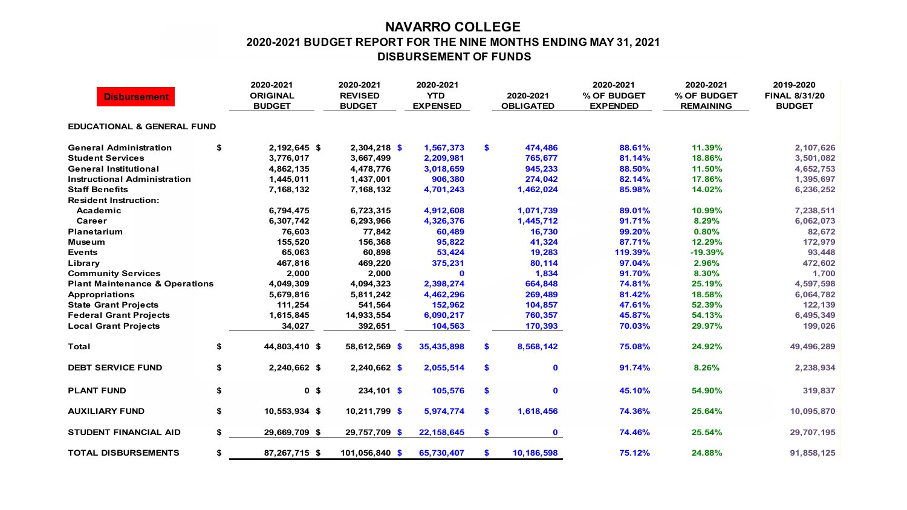## **NAVARRO COLLEGE 2020-2021 BUDGET REPORT FOR THE NINE MONTHS ENDING MAY 31, 2021 DISBURSEMENT OF FUNDS**

| <b>Disbursement</b>                       |    | 2020-2021<br><b>ORIGINAL</b><br><b>BUDGET</b> | 2020-2021<br><b>REVISED</b><br><b>BUDGET</b> | 2020-2021<br><b>YTD</b><br><b>EXPENSED</b> |    | 2020-2021<br><b>OBLIGATED</b> | 2020-2021<br>% OF BUDGET<br><b>EXPENDED</b> | 2020-2021<br>% OF BUDGET<br><b>REMAINING</b> | 2019-2020<br><b>FINAL 8/31/20</b><br><b>BUDGET</b> |  |  |  |  |
|-------------------------------------------|----|-----------------------------------------------|----------------------------------------------|--------------------------------------------|----|-------------------------------|---------------------------------------------|----------------------------------------------|----------------------------------------------------|--|--|--|--|
| <b>EDUCATIONAL &amp; GENERAL FUND</b>     |    |                                               |                                              |                                            |    |                               |                                             |                                              |                                                    |  |  |  |  |
| <b>General Administration</b>             | \$ | 2,192,645 \$                                  | 2,304,218 \$                                 | 1,567,373                                  | S. | 474,486                       | 88.61%                                      | 11.39%                                       | 2,107,626                                          |  |  |  |  |
| <b>Student Services</b>                   |    | 3,776,017                                     | 3,667,499                                    | 2,209,981                                  |    | 765,677                       | 81.14%                                      | 18.86%                                       | 3,501,082                                          |  |  |  |  |
| <b>General Institutional</b>              |    | 4,862,135                                     | 4,478,776                                    | 3,018,659                                  |    | 945,233                       | 88.50%                                      | 11.50%                                       | 4,652,753                                          |  |  |  |  |
| <b>Instructional Administration</b>       |    | 1,445,011                                     | 1,437,001                                    | 906,380                                    |    | 274,042                       | 82.14%                                      | 17.86%                                       | 1,395,697                                          |  |  |  |  |
| <b>Staff Benefits</b>                     |    | 7,168,132                                     | 7,168,132                                    | 4,701,243                                  |    | 1,462,024                     | 85.98%                                      | 14.02%                                       | 6,236,252                                          |  |  |  |  |
| <b>Resident Instruction:</b>              |    |                                               |                                              |                                            |    |                               |                                             |                                              |                                                    |  |  |  |  |
| Academic                                  |    | 6,794,475                                     | 6,723,315                                    | 4,912,608                                  |    | 1,071,739                     | 89.01%                                      | 10.99%                                       | 7,238,511                                          |  |  |  |  |
| Career                                    |    | 6,307,742                                     | 6,293,966                                    | 4,326,376                                  |    | 1,445,712                     | 91.71%                                      | 8.29%                                        | 6,062,073                                          |  |  |  |  |
| Planetarium                               |    | 76,603                                        | 77,842                                       | 60,489                                     |    | 16,730                        | 99.20%                                      | 0.80%                                        | 82,672                                             |  |  |  |  |
| Museum                                    |    | 155,520                                       | 156,368                                      | 95,822                                     |    | 41,324                        | 87.71%                                      | 12.29%                                       | 172,979                                            |  |  |  |  |
| <b>Events</b>                             |    | 65,063                                        | 60,898                                       | 53,424                                     |    | 19,283                        | 119.39%                                     | $-19.39%$                                    | 93,448                                             |  |  |  |  |
| Library                                   |    | 467,816                                       | 469,220                                      | 375,231                                    |    | 80,114                        | 97.04%                                      | 2.96%                                        | 472,602                                            |  |  |  |  |
| <b>Community Services</b>                 |    | 2,000                                         | 2,000                                        | $\mathbf 0$                                |    | 1,834                         | 91.70%                                      | 8.30%                                        | 1,700                                              |  |  |  |  |
| <b>Plant Maintenance &amp; Operations</b> |    | 4,049,309                                     | 4,094,323                                    | 2,398,274                                  |    | 664,848                       | 74.81%                                      | 25.19%                                       | 4,597,598                                          |  |  |  |  |
| <b>Appropriations</b>                     |    | 5,679,816                                     | 5,811,242                                    | 4,462,296                                  |    | 269,489                       | 81.42%                                      | 18.58%                                       | 6,064,782                                          |  |  |  |  |
| <b>State Grant Projects</b>               |    | 111,254                                       | 541,564                                      | 152,962                                    |    | 104,857                       | 47.61%                                      | 52.39%                                       | 122,139                                            |  |  |  |  |
| <b>Federal Grant Projects</b>             |    | 1,615,845                                     | 14,933,554                                   | 6,090,217                                  |    | 760,357                       | 45.87%                                      | 54.13%                                       | 6,495,349                                          |  |  |  |  |
| <b>Local Grant Projects</b>               |    | 34,027                                        | 392,651                                      | 104,563                                    |    | 170,393                       | 70.03%                                      | 29.97%                                       | 199,026                                            |  |  |  |  |
| Total                                     | \$ | 44,803,410 \$                                 | 58,612,569 \$                                | 35,435,898                                 | S. | 8,568,142                     | 75.08%                                      | 24.92%                                       | 49,496,289                                         |  |  |  |  |
| <b>DEBT SERVICE FUND</b>                  | \$ | 2,240,662 \$                                  | $2,240,662$ \$                               | 2,055,514                                  | S. | $\mathbf 0$                   | 91.74%                                      | 8.26%                                        | 2,238,934                                          |  |  |  |  |
| <b>PLANT FUND</b>                         | \$ | 0 <sup>5</sup>                                | $234,101$ \$                                 | 105,576                                    | \$ | $\mathbf 0$                   | 45.10%                                      | 54.90%                                       | 319,837                                            |  |  |  |  |
| <b>AUXILIARY FUND</b>                     | \$ | 10,553,934 \$                                 | $10,211,799$ \$                              | 5,974,774                                  | S. | 1,618,456                     | 74.36%                                      | 25.64%                                       | 10,095,870                                         |  |  |  |  |
| <b>STUDENT FINANCIAL AID</b>              | \$ | 29,669,709 \$                                 | 29,757,709 \$                                | 22, 158, 645                               | \$ | $\mathbf 0$                   | 74.46%                                      | 25.54%                                       | 29,707,195                                         |  |  |  |  |
| <b>TOTAL DISBURSEMENTS</b>                | \$ | 87,267,715 \$                                 | 101,056,840 \$                               | 65,730,407                                 | S. | 10,186,598                    | 75.12%                                      | 24.88%                                       | 91,858,125                                         |  |  |  |  |